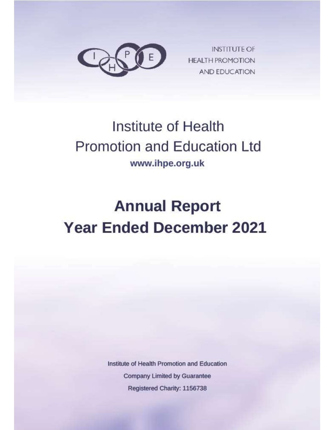

**INSTITUTE OF HEALTH PROMOTION AND EDUCATION** 

# **Institute of Health Promotion and Education Ltd** www.ihpe.org.uk

# **Annual Report Year Ended December 2021**

Institute of Health Promotion and Education **Company Limited by Guarantee** Registered Charity: 1156738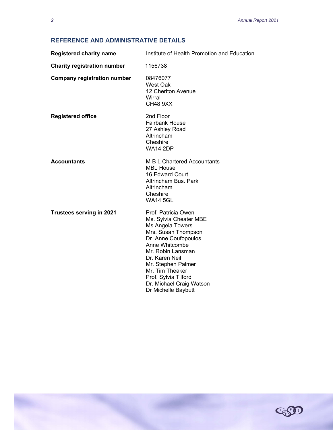# REFERENCE AND ADMINISTRATIVE DETAILS

| <b>Registered charity name</b>     | Institute of Health Promotion and Education                                                                                                                                                                                                                                                   |
|------------------------------------|-----------------------------------------------------------------------------------------------------------------------------------------------------------------------------------------------------------------------------------------------------------------------------------------------|
| <b>Charity registration number</b> | 1156738                                                                                                                                                                                                                                                                                       |
| <b>Company registration number</b> | 08476077<br><b>West Oak</b><br>12 Cheriton Avenue<br>Wirral<br><b>CH48 9XX</b>                                                                                                                                                                                                                |
| <b>Registered office</b>           | 2nd Floor<br><b>Fairbank House</b><br>27 Ashley Road<br>Altrincham<br>Cheshire<br><b>WA14 2DP</b>                                                                                                                                                                                             |
| <b>Accountants</b>                 | M B L Chartered Accountants<br><b>MBL House</b><br>16 Edward Court<br>Altrincham Bus. Park<br>Altrincham<br>Cheshire<br><b>WA14 5GL</b>                                                                                                                                                       |
| <b>Trustees serving in 2021</b>    | Prof. Patricia Owen<br>Ms. Sylvia Cheater MBE<br>Ms Angela Towers<br>Mrs. Susan Thompson<br>Dr. Anne Coufopoulos<br>Anne Whitcombe<br>Mr. Robin Lansman<br>Dr. Karen Neil<br>Mr. Stephen Palmer<br>Mr. Tim Theaker<br>Prof. Sylvia Tilford<br>Dr. Michael Craig Watson<br>Dr Michelle Baybutt |



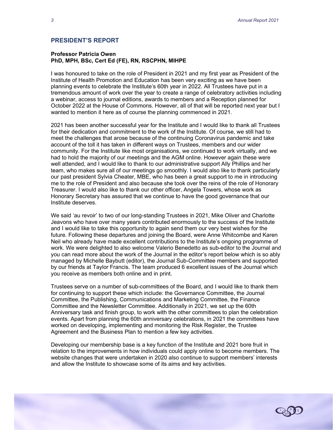#### PRESIDENT'S REPORT

#### Professor Patricia Owen PhD, MPH, BSc, Cert Ed (FE), RN, RSCPHN, MIHPE

I was honoured to take on the role of President in 2021 and my first year as President of the Institute of Health Promotion and Education has been very exciting as we have been planning events to celebrate the Institute's 60th year in 2022. All Trustees have put in a tremendous amount of work over the year to create a range of celebratory activities including a webinar, access to journal editions, awards to members and a Reception planned for October 2022 at the House of Commons. However, all of that will be reported next year but I wanted to mention it here as of course the planning commenced in 2021.

2021 has been another successful year for the Institute and I would like to thank all Trustees for their dedication and commitment to the work of the Institute. Of course, we still had to meet the challenges that arose because of the continuing Coronavirus pandemic and take account of the toll it has taken in different ways on Trustees, members and our wider community. For the Institute like most organisations, we continued to work virtually, and we had to hold the majority of our meetings and the AGM online. However again these were well attended, and I would like to thank to our administrative support Ally Phillips and her team, who makes sure all of our meetings go smoothly. I would also like to thank particularly our past president Sylvia Cheater, MBE, who has been a great support to me in introducing me to the role of President and also because she took over the reins of the role of Honorary Treasurer. I would also like to thank our other officer, Angela Towers, whose work as Honorary Secretary has assured that we continue to have the good governance that our Institute deserves.

We said 'au revoir' to two of our long-standing Trustees in 2021, Mike Oliver and Charlotte Jeavons who have over many years contributed enormously to the success of the Institute and I would like to take this opportunity to again send them our very best wishes for the future. Following these departures and joining the Board, were Anne Whitcombe and Karen Neil who already have made excellent contributions to the Institute's ongoing programme of work. We were delighted to also welcome Valerio Benedetto as sub-editor to the Journal and you can read more about the work of the Journal in the editor's report below which is so ably managed by Michelle Baybutt (editor), the Journal Sub-Committee members and supported by our friends at Taylor Francis. The team produced 6 excellent issues of the Journal which you receive as members both online and in print.

Trustees serve on a number of sub-committees of the Board, and I would like to thank them for continuing to support these which include: the Governance Committee, the Journal Committee, the Publishing, Communications and Marketing Committee, the Finance Committee and the Newsletter Committee. Additionally in 2021, we set up the 60th Anniversary task and finish group, to work with the other committees to plan the celebration events. Apart from planning the 60th anniversary celebrations, in 2021 the committees have worked on developing, implementing and monitoring the Risk Register, the Trustee Agreement and the Business Plan to mention a few key activities.

Developing our membership base is a key function of the Institute and 2021 bore fruit in relation to the improvements in how individuals could apply online to become members. The website changes that were undertaken in 2020 also continue to support members' interests and allow the Institute to showcase some of its aims and key activities.

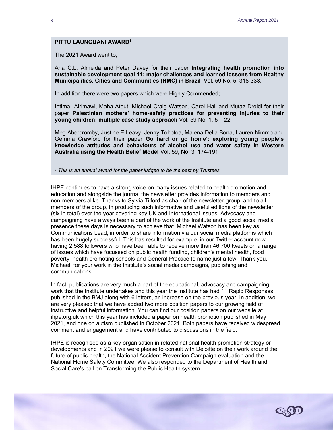#### PITTU LAUNGUANI AWARD<sup>1</sup>

The 2021 Award went to;

Ana C.L. Almeida and Peter Davey for their paper Integrating health promotion into sustainable development goal 11: major challenges and learned lessons from Healthy Municipalities, Cities and Communities (HMC) in Brazil Vol. 59 No. 5, 318-333.

In addition there were two papers which were Highly Commended;

Intima Alrimawi, Maha Atout, Michael Craig Watson, Carol Hall and Mutaz Dreidi for their paper Palestinian mothers' home-safety practices for preventing injuries to their young children: multiple case study approach Vol. 59 No. 1, 5 – 22

Meg Abercromby, Justine E Leavy, Jenny Tohotoa, Malena Della Bona, Lauren Nimmo and Gemma Crawford for their paper Go hard or go home': exploring young people's knowledge attitudes and behaviours of alcohol use and water safety in Western Australia using the Health Belief Model Vol. 59, No. 3, 174-191

<sup>1</sup> This is an annual award for the paper judged to be the best by Trustees

IHPE continues to have a strong voice on many issues related to health promotion and education and alongside the journal the newsletter provides information to members and non-members alike. Thanks to Sylvia Tilford as chair of the newsletter group, and to all members of the group, in producing such informative and useful editions of the newsletter (six in total) over the year covering key UK and International issues. Advocacy and campaigning have always been a part of the work of the Institute and a good social media presence these days is necessary to achieve that. Michael Watson has been key as Communications Lead, in order to share information via our social media platforms which has been hugely successful. This has resulted for example, in our Twitter account now having 2,588 followers who have been able to receive more than 46,700 tweets on a range of issues which have focussed on public health funding, children's mental health, food poverty, health promoting schools and General Practice to name just a few. Thank you, Michael, for your work in the Institute's social media campaigns, publishing and communications.

In fact, publications are very much a part of the educational, advocacy and campaigning work that the Institute undertakes and this year the Institute has had 11 Rapid Responses published in the BMJ along with 6 letters, an increase on the previous year. In addition, we are very pleased that we have added two more position papers to our growing field of instructive and helpful information. You can find our position papers on our website at ihpe.org.uk which this year has included a paper on health promotion published in May 2021, and one on autism published in October 2021. Both papers have received widespread comment and engagement and have contributed to discussions in the field.

IHPE is recognised as a key organisation in related national health promotion strategy or developments and in 2021 we were please to consult with Deloitte on their work around the future of public health, the National Accident Prevention Campaign evaluation and the National Home Safety Committee. We also responded to the Department of Health and Social Care's call on Transforming the Public Health system.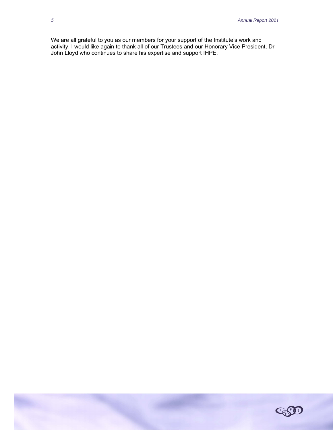We are all grateful to you as our members for your support of the Institute's work and activity. I would like again to thank all of our Trustees and our Honorary Vice President, Dr John Lloyd who continues to share his expertise and support IHPE.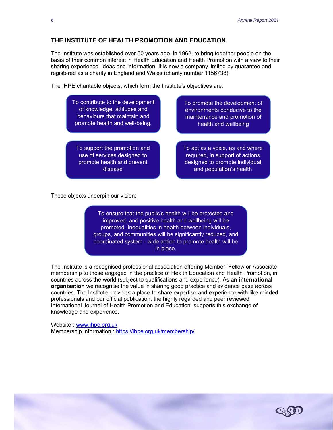### THE INSTITUTE OF HEALTH PROMOTION AND EDUCATION

The Institute was established over 50 years ago, in 1962, to bring together people on the basis of their common interest in Health Education and Health Promotion with a view to their sharing experience, ideas and information. It is now a company limited by guarantee and registered as a charity in England and Wales (charity number 1156738).

The IHPE charitable objects, which form the Institute's objectives are;

To contribute to the development of knowledge, attitudes and behaviours that maintain and promote health and well-being.

To support the promotion and use of services designed to promote health and prevent disease

To promote the development of environments conducive to the maintenance and promotion of health and wellbeing

To act as a voice, as and where required, in support of actions designed to promote individual and population's health

These objects underpin our vision;

To ensure that the public's health will be protected and improved, and positive health and wellbeing will be promoted. Inequalities in health between individuals, groups, and communities will be significantly reduced, and coordinated system - wide action to promote health will be in place.

The Institute is a recognised professional association offering Member, Fellow or Associate membership to those engaged in the practice of Health Education and Health Promotion, in countries across the world (subject to qualifications and experience). As an international organisation we recognise the value in sharing good practice and evidence base across countries. The Institute provides a place to share expertise and experience with like-minded professionals and our official publication, the highly regarded and peer reviewed International Journal of Health Promotion and Education, supports this exchange of knowledge and experience.

Website : www.ihpe.org.uk Membership information : https://ihpe.org.uk/membership/

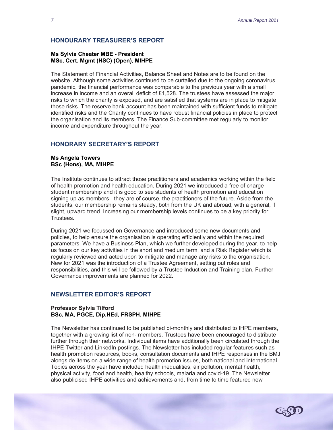#### HONOURARY TREASURER'S REPORT

#### Ms Sylvia Cheater MBE - President MSc, Cert. Mgmt (HSC) (Open), MIHPE

The Statement of Financial Activities, Balance Sheet and Notes are to be found on the website. Although some activities continued to be curtailed due to the ongoing coronavirus pandemic, the financial performance was comparable to the previous year with a small increase in income and an overall deficit of  $£1,528$ . The trustees have assessed the major risks to which the charity is exposed, and are satisfied that systems are in place to mitigate those risks. The reserve bank account has been maintained with sufficient funds to mitigate identified risks and the Charity continues to have robust financial policies in place to protect the organisation and its members. The Finance Sub-committee met regularly to monitor income and expenditure throughout the year.

# HONORARY SECRETARY'S REPORT

#### Ms Angela Towers BSc (Hons), MA, MIHPE

The Institute continues to attract those practitioners and academics working within the field of health promotion and health education. During 2021 we introduced a free of charge student membership and it is good to see students of health promotion and education signing up as members - they are of course, the practitioners of the future. Aside from the students, our membership remains steady, both from the UK and abroad, with a general, if slight, upward trend. Increasing our membership levels continues to be a key priority for Trustees.

During 2021 we focussed on Governance and introduced some new documents and policies, to help ensure the organisation is operating efficiently and within the required parameters. We have a Business Plan, which we further developed during the year, to help us focus on our key activities in the short and medium term, and a Risk Register which is regularly reviewed and acted upon to mitigate and manage any risks to the organisation. New for 2021 was the introduction of a Trustee Agreement, setting out roles and responsibilities, and this will be followed by a Trustee Induction and Training plan. Further Governance improvements are planned for 2022.

#### NEWSLETTER EDITOR'S REPORT

#### Professor Sylvia Tilford BSc, MA, PGCE, Dip.HEd, FRSPH, MIHPE

The Newsletter has continued to be published bi-monthly and distributed to IHPE members, together with a growing list of non- members. Trustees have been encouraged to distribute further through their networks. Individual items have additionally been circulated through the IHPE Twitter and LinkedIn postings. The Newsletter has included regular features such as health promotion resources, books, consultation documents and IHPE responses in the BMJ alongside items on a wide range of health promotion issues, both national and international. Topics across the year have included health inequalities, air pollution, mental health, physical activity, food and health, healthy schools, malaria and covid-19. The Newsletter also publicised IHPE activities and achievements and, from time to time featured new

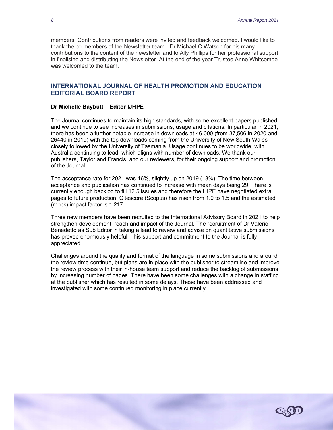members. Contributions from readers were invited and feedback welcomed. I would like to thank the co-members of the Newsletter team - Dr Michael C Watson for his many contributions to the content of the newsletter and to Ally Phillips for her professional support in finalising and distributing the Newsletter. At the end of the year Trustee Anne Whitcombe was welcomed to the team.

#### INTERNATIONAL JOURNAL OF HEALTH PROMOTION AND EDUCATION EDITORIAL BOARD REPORT

#### Dr Michelle Baybutt – Editor IJHPE

The Journal continues to maintain its high standards, with some excellent papers published, and we continue to see increases in submissions, usage and citations. In particular in 2021, there has been a further notable increase in downloads at 46,000 (from 37,506 in 2020 and 26440 in 2019) with the top downloads coming from the University of New South Wales closely followed by the University of Tasmania. Usage continues to be worldwide, with Australia continuing to lead, which aligns with number of downloads. We thank our publishers, Taylor and Francis, and our reviewers, for their ongoing support and promotion of the Journal.

The acceptance rate for 2021 was 16%, slightly up on 2019 (13%). The time between acceptance and publication has continued to increase with mean days being 29. There is currently enough backlog to fill 12.5 issues and therefore the IHPE have negotiated extra pages to future production. Citescore (Scopus) has risen from 1.0 to 1.5 and the estimated (mock) impact factor is 1.217.

Three new members have been recruited to the International Advisory Board in 2021 to help strengthen development, reach and impact of the Journal. The recruitment of Dr Valerio Benedetto as Sub Editor in taking a lead to review and advise on quantitative submissions has proved enormously helpful – his support and commitment to the Journal is fully appreciated.

Challenges around the quality and format of the language in some submissions and around the review time continue, but plans are in place with the publisher to streamline and improve the review process with their in-house team support and reduce the backlog of submissions by increasing number of pages. There have been some challenges with a change in staffing at the publisher which has resulted in some delays. These have been addressed and investigated with some continued monitoring in place currently.

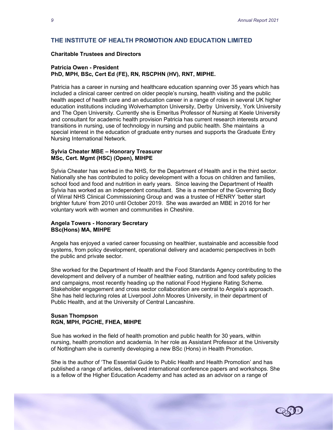# THE INSTITUTE OF HEALTH PROMOTION AND EDUCATION LIMITED

#### Charitable Trustees and Directors

#### Patricia Owen - President

#### PhD, MPH, BSc, Cert Ed (FE), RN, RSCPHN (HV), RNT, MIPHE.

Patricia has a career in nursing and healthcare education spanning over 35 years which has included a clinical career centred on older people's nursing, health visiting and the public health aspect of health care and an education career in a range of roles in several UK higher education institutions including Wolverhampton University, Derby University, York University and The Open University. Currently she is Emeritus Professor of Nursing at Keele University and consultant for academic health provision Patricia has current research interests around transitions in nursing, use of technology in nursing and public health. She maintains a special interest in the education of graduate entry nurses and supports the Graduate Entry Nursing International Network.

#### Sylvia Cheater MBE – Honorary Treasurer MSc, Cert. Mgmt (HSC) (Open), MIHPE

Sylvia Cheater has worked in the NHS, for the Department of Health and in the third sector. Nationally she has contributed to policy development with a focus on children and families, school food and food and nutrition in early years. Since leaving the Department of Health Sylvia has worked as an independent consultant. She is a member of the Governing Body of Wirral NHS Clinical Commissioning Group and was a trustee of HENRY 'better start brighter future' from 2010 until October 2019. She was awarded an MBE in 2016 for her voluntary work with women and communities in Cheshire.

#### Angela Towers - Honorary Secretary BSc(Hons) MA, MIHPE

Angela has enjoyed a varied career focussing on healthier, sustainable and accessible food systems, from policy development, operational delivery and academic perspectives in both the public and private sector.

She worked for the Department of Health and the Food Standards Agency contributing to the development and delivery of a number of healthier eating, nutrition and food safety policies and campaigns, most recently heading up the national Food Hygiene Rating Scheme. Stakeholder engagement and cross sector collaboration are central to Angela's approach. She has held lecturing roles at Liverpool John Moores University, in their department of Public Health, and at the University of Central Lancashire.

#### Susan Thompson RGN, MPH, PGCHE, FHEA, MIHPE

Sue has worked in the field of health promotion and public health for 30 years, within nursing, health promotion and academia. In her role as Assistant Professor at the University of Nottingham she is currently developing a new BSc (Hons) in Health Promotion.

She is the author of 'The Essential Guide to Public Health and Health Promotion' and has published a range of articles, delivered international conference papers and workshops. She is a fellow of the Higher Education Academy and has acted as an advisor on a range of

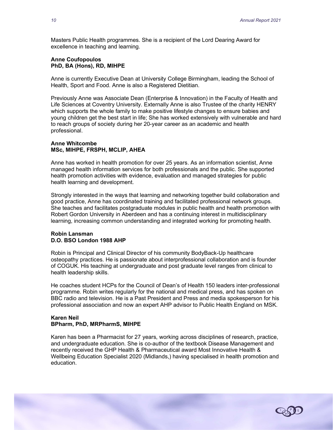Masters Public Health programmes. She is a recipient of the Lord Dearing Award for excellence in teaching and learning.

#### Anne Coufopoulos PhD, BA (Hons), RD, MIHPE

Anne is currently Executive Dean at University College Birmingham, leading the School of Health, Sport and Food. Anne is also a Registered Dietitian.

Previously Anne was Associate Dean (Enterprise & Innovation) in the Faculty of Health and Life Sciences at Coventry University. Externally Anne is also Trustee of the charity HENRY which supports the whole family to make positive lifestyle changes to ensure babies and young children get the best start in life; She has worked extensively with vulnerable and hard to reach groups of society during her 20-year career as an academic and health professional.

#### Anne Whitcombe MSc, MIHPE, FRSPH, MCLIP, AHEA

Anne has worked in health promotion for over 25 years. As an information scientist, Anne managed health information services for both professionals and the public. She supported health promotion activities with evidence, evaluation and managed strategies for public health learning and development.

Strongly interested in the ways that learning and networking together build collaboration and good practice, Anne has coordinated training and facilitated professional network groups. She teaches and facilitates postgraduate modules in public health and health promotion with Robert Gordon University in Aberdeen and has a continuing interest in multidisciplinary learning, increasing common understanding and integrated working for promoting health.

#### Robin Lansman D.O. BSO London 1988 AHP

Robin is Principal and Clinical Director of his community BodyBack-Up healthcare osteopathy practices. He is passionate about interprofessional collaboration and is founder of COGUK. His teaching at undergraduate and post graduate level ranges from clinical to health leadership skills.

He coaches student HCPs for the Council of Dean's of Health 150 leaders inter-professional programme. Robin writes regularly for the national and medical press, and has spoken on BBC radio and television. He is a Past President and Press and media spokesperson for his professional association and now an expert AHP advisor to Public Health England on MSK.

#### Karen Neil BPharm, PhD, MRPharmS, MIHPE

Karen has been a Pharmacist for 27 years, working across disciplines of research, practice, and undergraduate education. She is co-author of the textbook Disease Management and recently received the GHP Health & Pharmaceutical award Most Innovative Health & Wellbeing Education Specialist 2020 (Midlands,) having specialised in health promotion and education.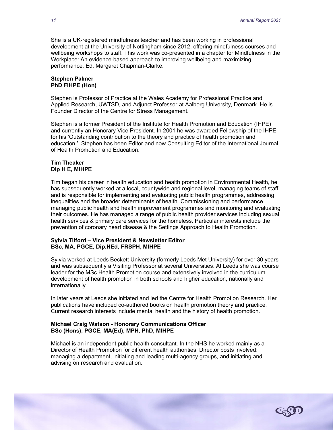She is a UK-registered mindfulness teacher and has been working in professional development at the University of Nottingham since 2012, offering mindfulness courses and wellbeing workshops to staff. This work was co-presented in a chapter for Mindfulness in the Workplace: An evidence-based approach to improving wellbeing and maximizing performance. Ed. Margaret Chapman-Clarke.

#### Stephen Palmer PhD FIHPE (Hon)

Stephen is Professor of Practice at the Wales Academy for Professional Practice and Applied Research, UWTSD, and Adjunct Professor at Aalborg University, Denmark. He is Founder Director of the Centre for Stress Management.

Stephen is a former President of the Institute for Health Promotion and Education (IHPE) and currently an Honorary Vice President. In 2001 he was awarded Fellowship of the IHPE for his 'Outstanding contribution to the theory and practice of health promotion and education.' Stephen has been Editor and now Consulting Editor of the International Journal of Health Promotion and Education.

#### Tim Theaker Dip H E, MIHPE

Tim began his career in health education and health promotion in Environmental Health, he has subsequently worked at a local, countywide and regional level, managing teams of staff and is responsible for implementing and evaluating public health programmes, addressing inequalities and the broader determinants of health. Commissioning and performance managing public health and health improvement programmes and monitoring and evaluating their outcomes. He has managed a range of public health provider services including sexual health services & primary care services for the homeless. Particular interests include the prevention of coronary heart disease & the Settings Approach to Health Promotion.

#### Sylvia Tilford – Vice President & Newsletter Editor BSc, MA, PGCE, Dip.HEd, FRSPH, MIHPE

Sylvia worked at Leeds Beckett University (formerly Leeds Met University) for over 30 years and was subsequently a Visiting Professor at several Universities. At Leeds she was course leader for the MSc Health Promotion course and extensively involved in the curriculum development of health promotion in both schools and higher education, nationally and internationally.

In later years at Leeds she initiated and led the Centre for Health Promotion Research. Her publications have included co-authored books on health promotion theory and practice. Current research interests include mental health and the history of health promotion.

#### Michael Craig Watson - Honorary Communications Officer BSc (Hons), PGCE, MA(Ed), MPH, PhD, MIHPE

Michael is an independent public health consultant. In the NHS he worked mainly as a Director of Health Promotion for different health authorities. Director posts involved: managing a department, initiating and leading multi-agency groups, and initiating and advising on research and evaluation.

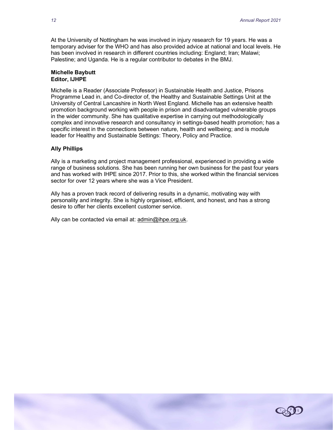At the University of Nottingham he was involved in injury research for 19 years. He was a temporary adviser for the WHO and has also provided advice at national and local levels. He has been involved in research in different countries including: England; Iran; Malawi; Palestine; and Uganda. He is a regular contributor to debates in the BMJ.

#### Michelle Baybutt Editor, IJHPE

Michelle is a Reader (Associate Professor) in Sustainable Health and Justice, Prisons Programme Lead in, and Co-director of, the Healthy and Sustainable Settings Unit at the University of Central Lancashire in North West England. Michelle has an extensive health promotion background working with people in prison and disadvantaged vulnerable groups in the wider community. She has qualitative expertise in carrying out methodologically complex and innovative research and consultancy in settings-based health promotion; has a specific interest in the connections between nature, health and wellbeing; and is module leader for Healthy and Sustainable Settings: Theory, Policy and Practice.

#### Ally Phillips

Ally is a marketing and project management professional, experienced in providing a wide range of business solutions. She has been running her own business for the past four years and has worked with IHPE since 2017. Prior to this, she worked within the financial services sector for over 12 years where she was a Vice President.

Ally has a proven track record of delivering results in a dynamic, motivating way with personality and integrity. She is highly organised, efficient, and honest, and has a strong desire to offer her clients excellent customer service.

Ally can be contacted via email at: admin@ihpe.org.uk.

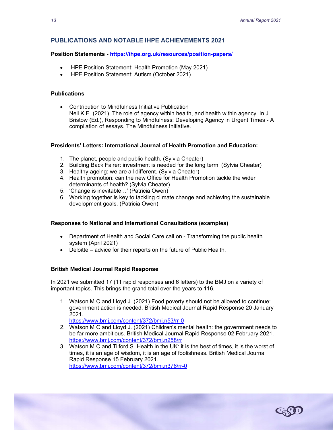# PUBLICATIONS AND NOTABLE IHPE ACHIEVEMENTS 2021

#### Position Statements - https://ihpe.org.uk/resources/position-papers/

- IHPE Position Statement: Health Promotion (May 2021)
- IHPE Position Statement: Autism (October 2021)

#### **Publications**

 Contribution to Mindfulness Initiative Publication Neil K E. (2021). The role of agency within health, and health within agency. In J. Bristow (Ed.), Responding to Mindfulness: Developing Agency in Urgent Times - A compilation of essays. The Mindfulness Initiative.

#### Presidents' Letters: International Journal of Health Promotion and Education:

- 1. The planet, people and public health. (Sylvia Cheater)
- 2. Building Back Fairer: investment is needed for the long term. (Sylvia Cheater)
- 3. Healthy ageing: we are all different. (Sylvia Cheater)
- 4. Health promotion: can the new Office for Health Promotion tackle the wider determinants of health? (Sylvia Cheater)
- 5. 'Change is inevitable…' (Patricia Owen)
- 6. Working together is key to tackling climate change and achieving the sustainable development goals. (Patricia Owen)

#### Responses to National and International Consultations (examples)

- Department of Health and Social Care call on Transforming the public health system (April 2021)
- Deloitte advice for their reports on the future of Public Health.

#### British Medical Journal Rapid Response

In 2021 we submitted 17 (11 rapid responses and 6 letters) to the BMJ on a variety of important topics. This brings the grand total over the years to 116.

1. Watson M C and Lloyd J. (2021) Food poverty should not be allowed to continue: government action is needed. British Medical Journal Rapid Response 20 January 2021.

https://www.bmj.com/content/372/bmj.n53/rr-0

- 2. Watson M C and Lloyd J. (2021) Children's mental health: the government needs to be far more ambitious. British Medical Journal Rapid Response 02 February 2021. https://www.bmj.com/content/372/bmj.n258/rr
- 3. Watson M C and Tilford S. Health in the UK: it is the best of times, it is the worst of times, it is an age of wisdom, it is an age of foolishness. British Medical Journal Rapid Response 15 February 2021. https://www.bmj.com/content/372/bmj.n376/rr-0